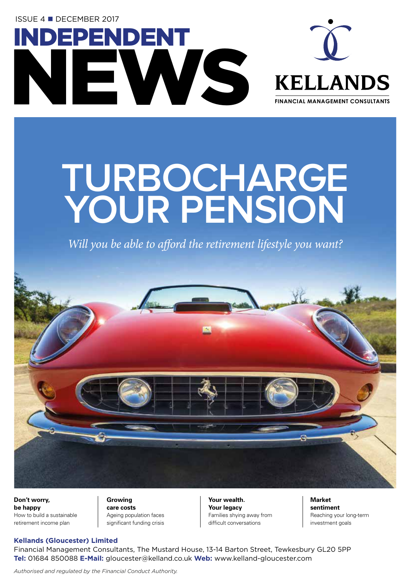**ISSUE 4 ■ DECEMBER 2017** 





## **TURBOCHARGE YOUR PENSION**

*Will you be able to afford the retirement lifestyle you want?*



**Don't worry, be happy**  How to build a sustainable retirement income plan

#### **Growing care costs**  Ageing population faces

significant funding crisis

**Your wealth. Your legacy**  Families shying away from difficult conversations

**Market sentiment**  Reaching your long-term investment goals

#### **Kellands (Gloucester) Limited**

Financial Management Consultants, The Mustard House, 13-14 Barton Street, Tewkesbury GL20 5PP **Tel:** 01684 850088 **E-Mail:** gloucester@kelland.co.uk **Web:** www.kelland-gloucester.com

*Authorised and regulated by the Financial Conduct Authority.*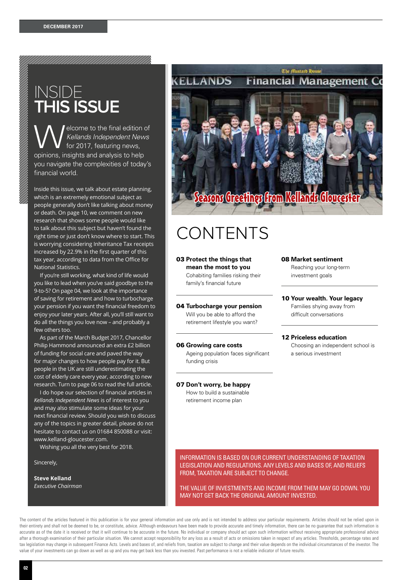### INSIDE **THIS ISSUE**

elcome to the final edition of *Kellands Independent News* for 2017, featuring news, opinions, insights and analysis to help you navigate the complexities of today's financial world.

<u>MAMMAMAMAMAMAMAMAMAMAMAMAMAMAMAMAMA</u>

Inside this issue, we talk about estate planning, which is an extremely emotional subject as people generally don't like talking about money or death. On page 10, we comment on new research that shows some people would like to talk about this subject but haven't found the right time or just don't know where to start. This is worrying considering Inheritance Tax receipts increased by 22.9% in the first quarter of this tax year, according to data from the Office for National Statistics.

If you're still working, what kind of life would you like to lead when you've said goodbye to the 9-to-5? On page 04, we look at the importance of saving for retirement and how to turbocharge your pension if you want the financial freedom to enjoy your later years. After all, you'll still want to do all the things you love now – and probably a few others too.

As part of the March Budget 2017, Chancellor Philip Hammond announced an extra £2 billion of funding for social care and paved the way for major changes to how people pay for it. But people in the UK are still underestimating the cost of elderly care every year, according to new research. Turn to page 06 to read the full article.

I do hope our selection of financial articles in *Kellands Independent News* is of interest to you and may also stimulate some ideas for your next financial review. Should you wish to discuss any of the topics in greater detail, please do not hesitate to contact us on 01684 850088 or visit: www.kelland-gloucester.com.

Wishing you all the very best for 2018.

Sincerely,

**Steve Kelland** *Executive Chairman*



## CONTENTS

03 **Protect the things that mean the most to you**  Cohabiting families risking their family's financial future

#### 04 **Turbocharge your pension**  Will you be able to afford the retirement lifestyle you want?

06 **Growing care costs**  Ageing population faces significant

#### 08 **Market sentiment**

Reaching your long-term investment goals

10 **Your wealth. Your legacy** 

Families shying away from difficult conversations

#### 12 **Priceless education**

Choosing an independent school is a serious investment

07 **Don't worry, be happy** 

funding crisis

How to build a sustainable retirement income plan

INFORMATION IS BASED ON OUR CURRENT UNDERSTANDING OF TAXATION LEGISLATION AND REGULATIONS. ANY LEVELS AND BASES OF, AND RELIEFS FROM, TAXATION ARE SUBJECT TO CHANGE.

THE VALUE OF INVESTMENTS AND INCOME FROM THEM MAY GO DOWN. YOU MAY NOT GET BACK THE ORIGINAL AMOUNT INVESTED.

The content of the articles featured in this publication is for your general information and use only and is not intended to address your particular requirements. Articles should not be relied upon in their entirety and shall not be deemed to be, or constitute, advice. Although endeavours have been made to provide accurate and timely information, there can be no guarantee that such information is accurate as of the date it is received or that it will continue to be accurate in the future. No individual or company should act upon such information without receiving appropriate professional advice after a thorough examination of their particular situation. We cannot accept responsibility for any loss as a result of acts or omissions taken in respect of any articles. Thresholds, percentage rates and tax legislation may change in subsequent Finance Acts. Levels and bases of, and reliefs from, taxation are subject to change and their value depends on the individual circumstances of the investor. The value of your investments can go down as well as up and you may get back less than you invested. Past performance is not a reliable indicator of future results.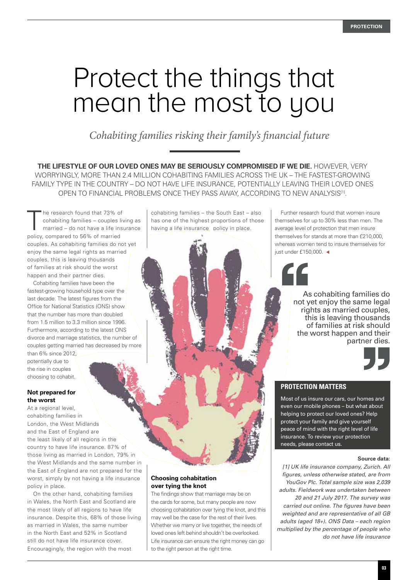## Protect the things that mean the most to you

*Cohabiting families risking their family's financial future*

**THE LIFESTYLE OF OUR LOVED ONES MAY BE SERIOUSLY COMPROMISED IF WE DIE.** HOWEVER, VERY WORRYINGLY, MORE THAN 2.4 MILLION COHABITING FAMILIES ACROSS THE UK – THE FASTEST-GROWING FAMILY TYPE IN THE COUNTRY – DO NOT HAVE LIFE INSURANCE, POTENTIALLY LEAVING THEIR LOVED ONES OPEN TO FINANCIAL PROBLEMS ONCE THEY PASS AWAY, ACCORDING TO NEW ANALYSIS[1].

The research found that 73% of<br>cohabiting families – couples liver<br>married – do not have a life insercohabiting families – couples living as married – do not have a life insurance policy, compared to 56% of married couples. As cohabiting families do not yet enjoy the same legal rights as married couples, this is leaving thousands of families at risk should the worst happen and their partner dies.

Cohabiting families have been the fastest-growing household type over the last decade. The latest figures from the Office for National Statistics (ONS) show that the number has more than doubled from 1.5 million to 3.3 million since 1996. Furthermore, according to the latest ONS divorce and marriage statistics, the number of couples getting married has decreased by more

than 6% since 2012, potentially due to the rise in couples choosing to cohabit.

#### **Not prepared for the worst**

At a regional level, cohabiting families in London, the West Midlands and the East of England are the least likely of all regions in the country to have life insurance. 87% of those living as married in London, 79% in the West Midlands and the same number in the East of England are not prepared for the worst, simply by not having a life insurance policy in place.

On the other hand, cohabiting families in Wales, the North East and Scotland are the most likely of all regions to have life insurance. Despite this, 68% of those living as married in Wales, the same number in the North East and 52% in Scotland still do not have life insurance cover. Encouragingly, the region with the most

cohabiting families – the South East – also has one of the highest proportions of those having a life insurance policy in place.

**Choosing cohabitation over tying the knot** 

The findings show that marriage may be on the cards for some, but many people are now choosing cohabitation over tying the knot, and this may well be the case for the rest of their lives. Whether we marry or live together, the needs of loved ones left behind shouldn't be overlooked. Life insurance can ensure the right money can go

to the right person at the right time.

Further research found that women insure themselves for up to 30% less than men. The average level of protection that men insure themselves for stands at more than £210,000, whereas women tend to insure themselves for just under £150,000.  $\triangleleft$ 

> As cohabiting families do not yet enjoy the same legal rights as married couples, this is leaving thousands of families at risk should the worst happen and their partner dies.



#### **PROTECTION MATTERS**

Most of us insure our cars, our homes and even our mobile phones – but what about helping to protect our loved ones? Help protect your family and give yourself peace of mind with the right level of life insurance. To review your protection needs, please contact us.

#### **Source data:**

*[1] UK life insurance company, Zurich. All figures, unless otherwise stated, are from YouGov Plc. Total sample size was 2,039 adults. Fieldwork was undertaken between 20 and 21 July 2017. The survey was carried out online. The figures have been weighted and are representative of all GB adults (aged 18+). ONS Data – each region multiplied by the percentage of people who do not have life insurance*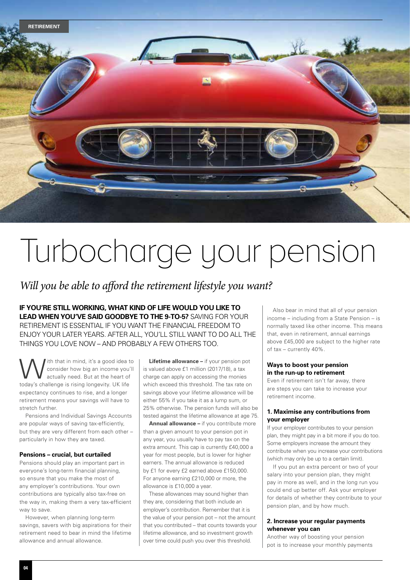

## Turbocharge your pension

### *Will you be able to afford the retirement lifestyle you want?*

**IF YOU'RE STILL WORKING, WHAT KIND OF LIFE WOULD YOU LIKE TO LEAD WHEN YOU'VE SAID GOODBYE TO THE 9-TO-5?** SAVING FOR YOUR RETIREMENT IS ESSENTIAL IF YOU WANT THE FINANCIAL FREEDOM TO ENJOY YOUR LATER YEARS. AFTER ALL, YOU'LL STILL WANT TO DO ALL THE THINGS YOU LOVE NOW – AND PROBABLY A FEW OTHERS TOO.

With that in mind, it's a good idea to<br>consider how big an income you'll<br>actually need. But at the heart of consider how big an income you'll actually need. But at the heart of today's challenge is rising longevity. UK life expectancy continues to rise, and a longer retirement means your savings will have to stretch further.

Pensions and Individual Savings Accounts are popular ways of saving tax-efficiently, but they are very different from each other – particularly in how they are taxed.

#### **Pensions – crucial, but curtailed**

Pensions should play an important part in everyone's long-term financial planning, so ensure that you make the most of any employer's contributions. Your own contributions are typically also tax-free on the way in, making them a very tax-efficient way to save.

However, when planning long-term savings, savers with big aspirations for their retirement need to bear in mind the lifetime allowance and annual allowance.

**Lifetime allowance –** if your pension pot is valued above £1 million (2017/18), a tax charge can apply on accessing the monies which exceed this threshold. The tax rate on savings above your lifetime allowance will be either 55% if you take it as a lump sum, or 25% otherwise. The pension funds will also be tested against the lifetime allowance at age 75.

**Annual allowance –** if you contribute more than a given amount to your pension pot in any year, you usually have to pay tax on the extra amount. This cap is currently £40,000 a year for most people, but is lower for higher earners. The annual allowance is reduced by £1 for every £2 earned above £150,000. For anyone earning £210,000 or more, the allowance is £10,000 a year.

These allowances may sound higher than they are, considering that both include an employer's contribution. Remember that it is the value of your pension pot – not the amount that you contributed – that counts towards your lifetime allowance, and so investment growth over time could push you over this threshold.

Also bear in mind that all of your pension income – including from a State Pension – is normally taxed like other income. This means that, even in retirement, annual earnings above £45,000 are subject to the higher rate of tax – currently 40%.

#### **Ways to boost your pension in the run-up to retirement**

Even if retirement isn't far away, there are steps you can take to increase your retirement income.

#### **1. Maximise any contributions from your employer**

If your employer contributes to your pension plan, they might pay in a bit more if you do too. Some employers increase the amount they contribute when you increase your contributions (which may only be up to a certain limit).

If you put an extra percent or two of your salary into your pension plan, they might pay in more as well, and in the long run you could end up better off. Ask your employer for details of whether they contribute to your pension plan, and by how much.

#### **2. Increase your regular payments whenever you can**

Another way of boosting your pension pot is to increase your monthly payments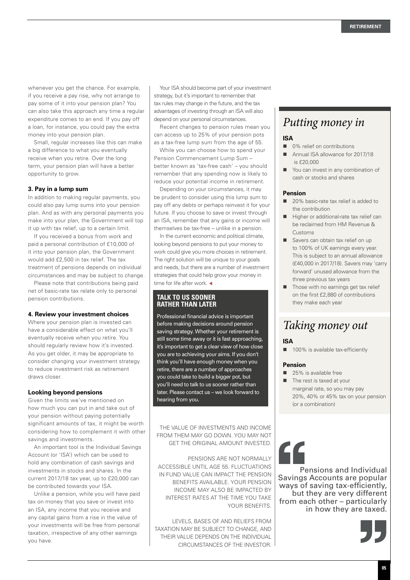whenever you get the chance. For example, if you receive a pay rise, why not arrange to pay some of it into your pension plan? You can also take this approach any time a regular expenditure comes to an end. If you pay off a loan, for instance, you could pay the extra money into your pension plan.

Small, regular increases like this can make a big difference to what you eventually receive when you retire. Over the long term, your pension plan will have a better opportunity to grow.

#### **3. Pay in a lump sum**

In addition to making regular payments, you could also pay lump sums into your pension plan. And as with any personal payments you make into your plan, the Government will top it up with tax relief, up to a certain limit.

If you received a bonus from work and paid a personal contribution of £10,000 of it into your pension plan, the Government would add £2,500 in tax relief. The tax treatment of pensions depends on individual circumstances and may be subject to change.

Please note that contributions being paid net of basic-rate tax relate only to personal pension contributions.

#### **4. Review your investment choices**

Where your pension plan is invested can have a considerable effect on what you'll eventually receive when you retire. You should regularly review how it's invested. As you get older, it may be appropriate to consider changing your investment strategy to reduce investment risk as retirement draws closer.

#### **Looking beyond pensions**

Given the limits we've mentioned on how much you can put in and take out of your pension without paying potentially significant amounts of tax, it might be worth considering how to complement it with other savings and investments.

An important tool is the Individual Savings Account (or 'ISA') which can be used to hold any combination of cash savings and investments in stocks and shares. In the current 2017/18 tax year, up to £20,000 can be contributed towards your ISA.

Unlike a pension, while you will have paid tax on money that you save or invest into an ISA, any income that you receive and any capital gains from a rise in the value of your investments will be free from personal taxation, irrespective of any other earnings you have.

Your ISA should become part of your investment strategy, but it's important to remember that tax rules may change in the future, and the tax advantages of investing through an ISA will also depend on your personal circumstances.

Recent changes to pension rules mean you can access up to 25% of your pension pots as a tax-free lump sum from the age of 55.

While you can choose how to spend your Pension Commencement Lump Sum – better known as 'tax-free cash' – you should remember that any spending now is likely to reduce your potential income in retirement.

Depending on your circumstances, it may be prudent to consider using this lump sum to pay off any debts or perhaps reinvest it for your future. If you choose to save or invest through an ISA, remember that any gains or income will themselves be tax-free – unlike in a pension.

In the current economic and political climate, looking beyond pensions to put your money to work could give you more choices in retirement. The right solution will be unique to your goals and needs, but there are a number of investment strategies that could help grow your money in time for life after work.  $\triangleleft$ 

#### **TALK TO US SOONER RATHER THAN LATER**

Professional financial advice is important before making decisions around pension saving strategy. Whether your retirement is still some time away or it is fast approaching, it's important to get a clear view of how close you are to achieving your aims. If you don't think you'll have enough money when you retire, there are a number of approaches you could take to build a bigger pot, but you'll need to talk to us sooner rather than later. Please contact us – we look forward to hearing from you.

THE VALUE OF INVESTMENTS AND INCOME FROM THEM MAY GO DOWN. YOU MAY NOT GET THE ORIGINAL AMOUNT INVESTED.

PENSIONS ARE NOT NORMALLY ACCESSIBLE UNTIL AGE 55. FLUCTUATIONS IN FUND VALUE CAN IMPACT THE PENSION BENEFITS AVAILABLE. YOUR PENSION INCOME MAY ALSO BE IMPACTED BY INTEREST RATES AT THE TIME YOU TAKE YOUR RENEFITS.

LEVELS, BASES OF AND RELIEFS FROM TAXATION MAY BE SUBJECT TO CHANGE, AND THEIR VALUE DEPENDS ON THE INDIVIDUAL CIRCUMSTANCES OF THE INVESTOR.

### *Putting money in*

#### **ISA**

- 0% relief on contributions
- Annual ISA allowance for 2017/18 is £20,000
- You can invest in any combination of cash or stocks and shares

#### **Pension**

- 20% basic-rate tax relief is added to the contribution
- Higher or additional-rate tax relief can be reclaimed from HM Revenue & Customs
- Savers can obtain tax relief on up to 100% of UK earnings every year. This is subject to an annual allowance (£40,000 in 2017/18). Savers may 'carry forward' unused allowance from the three previous tax years
- Those with no earnings get tax relief on the first £2,880 of contributions they make each year

### *Taking money out*

#### **ISA**

■ 100% is available tax-efficiently

#### **Pension**

- 25% is available free
- $\blacksquare$  The rest is taxed at your marginal rate, so you may pay
	- 20%, 40% or 45% tax on your pension (or a combination)

## 66

Pensions and Individual Savings Accounts are popular ways of saving tax-efficiently, but they are very different from each other – particularly in how they are taxed.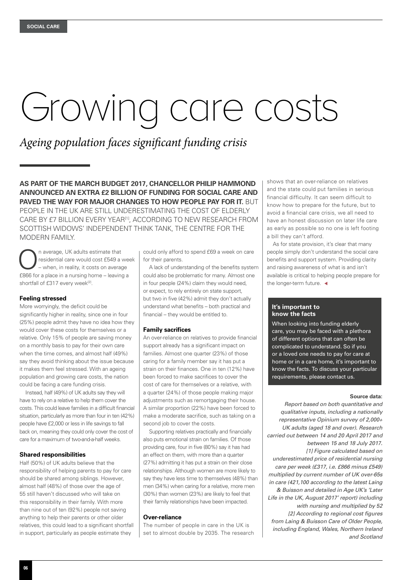# Growing care costs

### *Ageing population faces significant funding crisis*

**AS PART OF THE MARCH BUDGET 2017, CHANCELLOR PHILIP HAMMOND ANNOUNCED AN EXTRA £2 BILLION OF FUNDING FOR SOCIAL CARE AND PAVED THE WAY FOR MAJOR CHANGES TO HOW PEOPLE PAY FOR IT.** BUT

PEOPLE IN THE UK ARE STILL UNDERESTIMATING THE COST OF ELDERLY CARE BY £7 BILLION EVERY YEAR<sup>[1]</sup>, ACCORDING TO NEW RESEARCH FROM SCOTTISH WIDOWS' INDEPENDENT THINK TANK, THE CENTRE FOR THE MODERN FAMILY.

n average, UK adults estimate that residential care would cost £549 a week – when, in reality, it costs on average £866 for a place in a nursing home – leaving a shortfall of £317 every week[2].

#### **Feeling stressed**

More worryingly, the deficit could be significantly higher in reality, since one in four (25%) people admit they have no idea how they would cover these costs for themselves or a relative. Only 15% of people are saving money on a monthly basis to pay for their own care when the time comes, and almost half (49%) say they avoid thinking about the issue because it makes them feel stressed. With an ageing population and growing care costs, the nation could be facing a care funding crisis.

Instead, half (49%) of UK adults say they will have to rely on a relative to help them cover the costs. This could leave families in a difficult financial situation, particularly as more than four in ten (42%) people have £2,000 or less in life savings to fall back on, meaning they could only cover the cost of care for a maximum of two-and-a-half weeks.

#### **Shared responsibilities**

Half (50%) of UK adults believe that the responsibility of helping parents to pay for care should be shared among siblings. However, almost half (48%) of those over the age of 55 still haven't discussed who will take on this responsibility in their family. With more than nine out of ten (92%) people not saving anything to help their parents or other older relatives, this could lead to a significant shortfall in support, particularly as people estimate they

could only afford to spend £69 a week on care for their parents.

A lack of understanding of the benefits system could also be problematic for many. Almost one in four people (24%) claim they would need, or expect, to rely entirely on state support, but two in five (42%) admit they don't actually understand what benefits – both practical and financial – they would be entitled to.

#### **Family sacrifices**

An over-reliance on relatives to provide financial support already has a significant impact on families. Almost one quarter (23%) of those caring for a family member say it has put a strain on their finances. One in ten (12%) have been forced to make sacrifices to cover the cost of care for themselves or a relative, with a quarter (24%) of those people making major adjustments such as remortgaging their house. A similar proportion (22%) have been forced to make a moderate sacrifice, such as taking on a second job to cover the costs.

Supporting relatives practically and financially also puts emotional strain on families. Of those providing care, four in five (80%) say it has had an effect on them, with more than a quarter (27%) admitting it has put a strain on their close relationships. Although women are more likely to say they have less time to themselves (48%) than men (34%) when caring for a relative, more men (30%) than women (23%) are likely to feel that their family relationships have been impacted.

#### **Over-reliance**

The number of people in care in the UK is set to almost double by 2035. The research

shows that an over-reliance on relatives and the state could put families in serious financial difficulty. It can seem difficult to know how to prepare for the future, but to avoid a financial care crisis, we all need to have an honest discussion on later life care as early as possible so no one is left footing a bill they can't afford.

As for state provision, it's clear that many people simply don't understand the social care benefits and support system. Providing clarity and raising awareness of what is and isn't available is critical to helping people prepare for the longer-term future.  $\triangleleft$ 

#### **It's important to know the facts**

When looking into funding elderly care, you may be faced with a plethora of different options that can often be complicated to understand. So if you or a loved one needs to pay for care at home or in a care home, it's important to know the facts. To discuss your particular requirements, please contact us.

#### **Source data:**

*Report based on both quantitative and qualitative inputs, including a nationally representative Opinium survey of 2,000+ UK adults (aged 18 and over). Research carried out between 14 and 20 April 2017 and between 15 and 18 July 2017. [1] Figure calculated based on underestimated price of residential nursing care per week (£317, i.e. £866 minus £549) multiplied by current number of UK over-65s in care (421,100 according to the latest Laing & Buisson and detailed in Age UK's 'Later Life in the UK, August 2017' report) including with nursing and multiplied by 52 [2] According to regional cost figures from Laing & Buisson Care of Older People, including England, Wales, Northern Ireland and Scotland*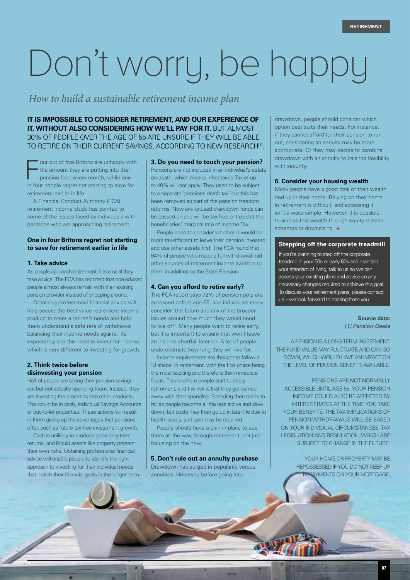# Don't worry, be happy

*How to build a sustainable retirement income plan* 

**IT IS IMPOSSIBLE TO CONSIDER RETIREMENT, AND OUR EXPERIENCE OF IT, WITHOUT ALSO CONSIDERING HOW WE'LL PAY FOR IT. BUT ALMOST** 30% OF PEOPLE OVER THE AGE OF 55 ARE UNSURE IF THEY WILL BE ABLE TO RETIRE ON THEIR CURRENT SAVINGS, ACCORDING TO NEW RESEARCH<sup>[1]</sup>.

F our out of five Britons are unhappy with the amount they are putting into their pension fund every month, while one in four people regret not starting to save for retirement earlier in life.

A Financial Conduct Authority (FCA) retirement income study has pointed to some of the issues faced by individuals with pensions who are approaching retirement.

#### **One in four Britons regret not starting to save for retirement earlier in life**

#### **1. Take advice**

As people approach retirement, it is crucial they take advice. The FCA has reported that non-advised people almost always remain with their existing pension provider instead of shopping around.

Obtaining professional financial advice will help secure the best value retirement income product to meet a retiree's needs and help them understand a safe rate of withdrawal, balancing their income needs against life expectancy and the need to invest for income, which is very different to investing for growth.

#### **2. Think twice before disinvesting your pension**

 $\sqrt{2}$ 

Half of people are taking their pension savings out but not actually spending them. Instead, they are investing the proceeds into other products. This could be in cash, Individual Savings Accounts or buy-to-let properties. These actions will result in them giving up the advantages that pensions offer, such as future tax-free investment growth.

Cash is unlikely to produce good long-term returns, and illiquid assets like property present their own risks. Obtaining professional financial advice will enable people to identify the right approach to investing for their individual needs that match their financial goals in the longer term. **3. Do you need to touch your pension?** Pensions are not included in an individual's estate

on death, which means Inheritance Tax of up to 40% will not apply. They used to be subject to a separate 'pensions death tax' but this has been removed as part of the pension freedom reforms. Now any unused drawdown funds can be passed on and will be tax-free or taxed at the beneficiaries' marginal rate of Income Tax.

People need to consider whether it would be more tax-efficient to leave their pension invested and use other assets first. The FCA found that 94% of people who made a full withdrawal had other sources of retirement income available to them in addition to the State Pension.

#### **4. Can you afford to retire early?**

The FCA report says 72% of pension pots are accessed before age 65, and individuals rarely consider 'the future and any of the broader issues around how much they would need to live off'. Many people want to retire early, but it is important to ensure that won't leave an income shortfall later on. A lot of people underestimate how long they will live for.

Income requirements are thought to follow a 'U shape' in retirement, with the first phase being the most exciting and therefore the immediate focus. This is where people start to enjoy retirement, and the risk is that they get carried away with their spending. Spending then tends to fall as people become a little less active and slow down, but costs may then go up in later life due to health issues, and care may be required.

People should have a plan in place to see them all the way through retirement, not just focusing on the now.

**5. Don't rule out an annuity purchase** Drawdown has surged in popularity versus annuities. However, before going into

drawdown, people should consider which option best suits their needs. For instance, if they cannot afford for their pension to run out, considering an annuity may be more appropriate. Or they may decide to combine drawdown with an annuity to balance flexibility with security.

#### **6. Consider your housing wealth**

Many people have a good deal of their wealth tied up in their home. Relying on their home in retirement is difficult, and accessing it isn't always simple. However, it is possible to access that wealth through equity release schemes or downsizing.

#### **Stepping off the corporate treadmill**

If you're planning to step off the corporate treadmill in your 50s or early 60s and maintain your standard of living, talk to us so we can assess your existing plans and advise on any necessary changes required to achieve this goal. To discuss your retirement plans, please contact us – we look forward to hearing from you.

> **Source data:** *[1] Pension Geeks*

A PENSION IS A LONG-TERM INVESTMENT. THE FUND VALUE MAY FLUCTUATE AND CAN GO DOWN, WHICH WOULD HAVE AN IMPACT ON THE LEVEL OF PENSION BENEFITS AVAILABLE.

PENSIONS ARE NOT NORMALLY ACCESSIBLE UNTIL AGE 55. YOUR PENSION INCOME COULD ALSO BE AFFECTED BY INTEREST RATES AT THE TIME YOU TAKE YOUR BENEFITS. THE TAX IMPLICATIONS OF PENSION WITHDRAWALS WILL BE BASED ON YOUR INDIVIDUAL CIRCUMSTANCES, TAX LEGISLATION AND REGULATION, WHICH ARE SUBJECT TO CHANGE IN THE FUTURE.

> YOUR HOME OR PROPERTY MAY BE REPOSSESSED IF YOU DO NOT KEEP UP **AYMENTS ON YOUR MORTGAGE.**

> > **07**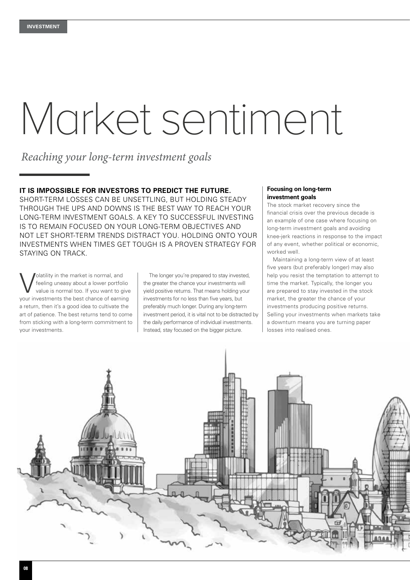# Market sentiment

*Reaching your long-term investment goals*

#### **IT IS IMPOSSIBLE FOR INVESTORS TO PREDICT THE FUTURE.**

SHORT-TERM LOSSES CAN BE UNSETTLING, BUT HOLDING STEADY THROUGH THE UPS AND DOWNS IS THE BEST WAY TO REACH YOUR LONG-TERM INVESTMENT GOALS. A KEY TO SUCCESSFUL INVESTING IS TO REMAIN FOCUSED ON YOUR LONG-TERM OBJECTIVES AND NOT LET SHORT-TERM TRENDS DISTRACT YOU. HOLDING ONTO YOUR INVESTMENTS WHEN TIMES GET TOUGH IS A PROVEN STRATEGY FOR STAYING ON TRACK.

Volatility in the market is normal, and<br>feeling uneasy about a lower portfol<br>value is normal too. If you want to g feeling uneasy about a lower portfolio value is normal too. If you want to give your investments the best chance of earning a return, then it's a good idea to cultivate the art of patience. The best returns tend to come from sticking with a long-term commitment to your investments.

The longer you're prepared to stay invested, the greater the chance your investments will yield positive returns. That means holding your investments for no less than five years, but preferably much longer. During any long-term investment period, it is vital not to be distracted by the daily performance of individual investments. Instead, stay focused on the bigger picture.

#### **Focusing on long-term investment goals**

The stock market recovery since the financial crisis over the previous decade is an example of one case where focusing on long-term investment goals and avoiding knee-jerk reactions in response to the impact of any event, whether political or economic, worked well.

Maintaining a long-term view of at least five years (but preferably longer) may also help you resist the temptation to attempt to time the market. Typically, the longer you are prepared to stay invested in the stock market, the greater the chance of your investments producing positive returns. Selling your investments when markets take a downturn means you are turning paper losses into realised ones.

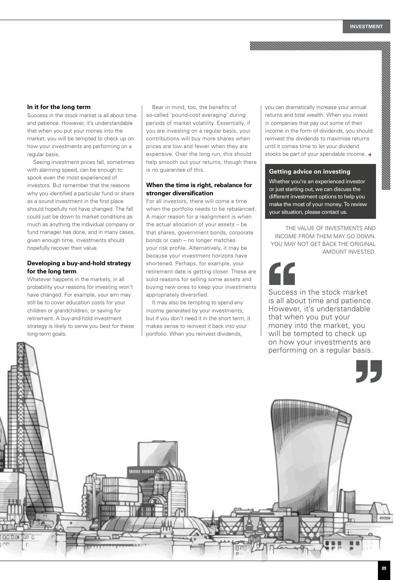#### **In it for the long term**

Success in the stock market is all about time and patience. However, it's understandable that when you put your money into the market, you will be tempted to check up on how your investments are performing on a regular basis.

Seeing investment prices fall, sometimes with alarming speed, can be enough to spook even the most experienced of investors. But remember that the reasons why you identified a particular fund or share as a sound investment in the first place should hopefully not have changed. The fall could just be down to market conditions as much as anything the individual company or fund manager has done, and in many cases, given enough time, investments should hopefully recover their value.

#### **Developing a buy-and-hold strategy for the long term**

Whatever happens in the markets, in all probability your reasons for investing won't have changed. For example, your aim may still be to cover education costs for your children or grandchildren, or saving for retirement. A buy-and-hold investment strategy is likely to serve you best for these long-term goals.

0000

 $00<sub>0</sub>$ 

Bear in mind, too, the benefits of so-called 'pound-cost averaging' during periods of market volatility. Essentially, if you are investing on a regular basis, your contributions will buy more shares when prices are low and fewer when they are expensive. Over the long run, this should help smooth out your returns, though there is no guarantee of this.

#### **When the time is right, rebalance for stronger diversification**

For all investors, there will come a time when the portfolio needs to be rebalanced. A major reason for a realignment is when the actual allocation of your assets – be that shares, government bonds, corporate bonds or cash – no longer matches your risk profile. Alternatively, it may be because your investment horizons have shortened. Perhaps, for example, your retirement date is getting closer. These are solid reasons for selling some assets and buying new ones to keep your investments appropriately diversified.

It may also be tempting to spend any income generated by your investments, but if you don't need it in the short term, it makes sense to reinvest it back into your portfolio. When you reinvest dividends,

000 000

you can dramatically increase your annual returns and total wealth. When you invest in companies that pay out some of their income in the form of dividends, you should reinvest the dividends to maximise returns until it comes time to let your dividend stocks be part of your spendable income.

#### **Getting advice on investing**

Whether you're an experienced investor or just starting out, we can discuss the different investment options to help you make the most of your money. To review your situation, please contact us.

THE VALUE OF INVESTMENTS AND INCOME FROM THEM MAY GO DOWN. YOU MAY NOT GET BACK THE ORIGINAL AMOUNT INVESTED.

Success in the stock market is all about time and patience. However, it's understandable that when you put your money into the market, you will be tempted to check up on how your investments are performing on a regular basis.

77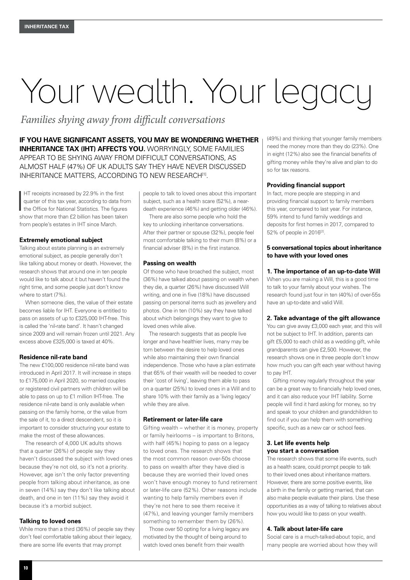## Your wealth. Your legacy

*Families shying away from difficult conversations*

**IF YOU HAVE SIGNIFICANT ASSETS, YOU MAY BE WONDERING WHETHER INHERITANCE TAX (IHT) AFFECTS YOU.** WORRYINGLY, SOME FAMILIES APPEAR TO BE SHYING AWAY FROM DIFFICULT CONVERSATIONS, AS ALMOST HALF (47%) OF UK ADULTS SAY THEY HAVE NEVER DISCUSSED INHERITANCE MATTERS, ACCORDING TO NEW RESEARCH<sup>[1]</sup>.

I HT receipts increased by 22.9% in the first quarter of this tax year, according to data from the Office for National Statistics. The figures show that more than £2 billion has been taken from people's estates in IHT since March.

#### **Extremely emotional subject**

Talking about estate planning is an extremely emotional subject, as people generally don't like talking about money or death. However, the research shows that around one in ten people would like to talk about it but haven't found the right time, and some people just don't know where to start (7%).

When someone dies, the value of their estate becomes liable for IHT. Everyone is entitled to pass on assets of up to £325,000 IHT-free. This is called the 'nil-rate band'. It hasn't changed since 2009 and will remain frozen until 2021. Any excess above £325,000 is taxed at 40%.

#### **Residence nil-rate band**

The new £100,000 residence nil-rate band was introduced in April 2017. It will increase in steps to £175,000 in April 2020, so married couples or registered civil partners with children will be able to pass on up to £1 million IHT-free. The residence nil-rate band is only available when passing on the family home, or the value from the sale of it, to a direct descendent, so it is important to consider structuring your estate to make the most of these allowances.

The research of 4,000 UK adults shows that a quarter (26%) of people say they haven't discussed the subject with loved ones because they're not old, so it's not a priority. However, age isn't the only factor preventing people from talking about inheritance, as one in seven (14%) say they don't like talking about death, and one in ten (11%) say they avoid it because it's a morbid subject.

#### **Talking to loved ones**

While more than a third (36%) of people say they don't feel comfortable talking about their legacy, there are some life events that may prompt

people to talk to loved ones about this important subject, such as a health scare (52%), a neardeath experience (46%) and getting older (46%).

There are also some people who hold the key to unlocking inheritance conversations. After their partner or spouse (32%), people feel most comfortable talking to their mum (8%) or a financial adviser (8%) in the first instance.

#### **Passing on wealth**

Of those who have broached the subject, most (36%) have talked about passing on wealth when they die, a quarter (26%) have discussed Will writing, and one in five (18%) have discussed passing on personal items such as jewellery and photos. One in ten (10%) say they have talked about which belongings they want to give to loved ones while alive.

The research suggests that as people live longer and have healthier lives, many may be torn between the desire to help loved ones while also maintaining their own financial independence. Those who have a plan estimate that 65% of their wealth will be needed to cover their 'cost of living', leaving them able to pass on a quarter (25%) to loved ones in a Will and to share 10% with their family as a 'living legacy' while they are alive.

#### **Retirement or later-life care**

Gifting wealth – whether it is money, property or family heirlooms – is important to Britons, with half (45%) hoping to pass on a legacy to loved ones. The research shows that the most common reason over-50s choose to pass on wealth after they have died is because they are worried their loved ones won't have enough money to fund retirement or later-life care (52%). Other reasons include wanting to help family members even if they're not here to see them receive it (47%), and leaving younger family members something to remember them by (26%).

Those over 50 opting for a living legacy are motivated by the thought of being around to watch loved ones benefit from their wealth

(49%) and thinking that younger family members need the money more than they do (23%). One in eight (12%) also see the financial benefits of gifting money while they're alive and plan to do so for tax reasons.

#### **Providing financial support**

In fact, more people are stepping in and providing financial support to family members this year, compared to last year. For instance, 59% intend to fund family weddings and deposits for first homes in 2017, compared to 52% of people in 2016<sup>[2]</sup>.

#### **5 conversational topics about inheritance to have with your loved ones**

#### **1. The importance of an up-to-date Will**

When you are making a Will, this is a good time to talk to your family about your wishes. The research found just four in ten (40%) of over-55s have an up-to-date and valid Will.

#### **2. Take advantage of the gift allowance**

You can give away £3,000 each year, and this will not be subject to IHT. In addition, parents can gift £5,000 to each child as a wedding gift, while grandparents can give £2,500. However, the research shows one in three people don't know how much you can gift each year without having to pay IHT.

Gifting money regularly throughout the year can be a great way to financially help loved ones, and it can also reduce your IHT liability. Some people will find it hard asking for money, so try and speak to your children and grandchildren to find out if you can help them with something specific, such as a new car or school fees.

#### **3. Let life events help you start a conversation**

The research shows that some life events, such as a health scare, could prompt people to talk to their loved ones about inheritance matters. However, there are some positive events, like a birth in the family or getting married, that can also make people evaluate their plans. Use these opportunities as a way of talking to relatives about how you would like to pass on your wealth.

#### **4. Talk about later-life care**

Social care is a much-talked-about topic, and many people are worried about how they will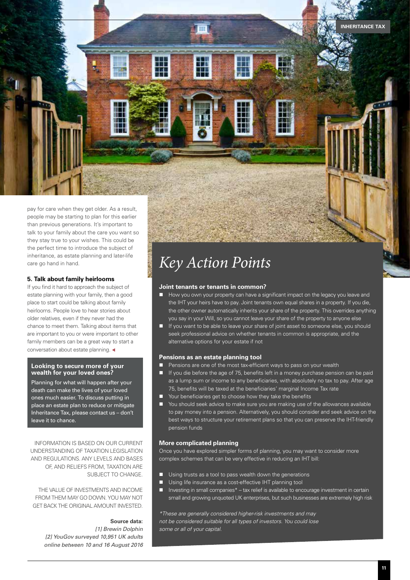pay for care when they get older. As a result, people may be starting to plan for this earlier than previous generations. It's important to talk to your family about the care you want so they stay true to your wishes. This could be the perfect time to introduce the subject of inheritance, as estate planning and later-life care go hand in hand.

#### **5. Talk about family heirlooms**

If you find it hard to approach the subject of estate planning with your family, then a good place to start could be talking about family heirlooms. People love to hear stories about older relatives, even if they never had the chance to meet them. Talking about items that are important to you or were important to other family members can be a great way to start a conversation about estate planning. <

#### **Looking to secure more of your wealth for your loved ones?**

Planning for what will happen after your death can make the lives of your loved ones much easier. To discuss putting in place an estate plan to reduce or mitigate Inheritance Tax, please contact us – don't leave it to chance.

INFORMATION IS BASED ON OUR CURRENT UNDERSTANDING OF TAXATION LEGISLATION AND REGULATIONS. ANY LEVELS AND BASES OF, AND RELIEFS FROM, TAXATION ARE SUBJECT TO CHANGE.

THE VALUE OF INVESTMENTS AND INCOME FROM THEM MAY GO DOWN. YOU MAY NOT GET BACK THE ORIGINAL AMOUNT INVESTED.

#### **Source data:**

*[1] Brewin Dolphin [2] YouGov surveyed 10,951 UK adults online between 10 and 16 August 2016*

## *Key Action Points*

#### **Joint tenants or tenants in common?**

- How you own your property can have a significant impact on the legacy you leave and the IHT your heirs have to pay. Joint tenants own equal shares in a property. If you die, the other owner automatically inherits your share of the property. This overrides anything you say in your Will, so you cannot leave your share of the property to anyone else
- **n** If you want to be able to leave your share of joint asset to someone else, you should seek professional advice on whether tenants in common is appropriate, and the alternative options for your estate if not

#### **Pensions as an estate planning tool**

- Pensions are one of the most tax-efficient ways to pass on your wealth
- **n** If you die before the age of 75, benefits left in a money purchase pension can be paid as a lump sum or income to any beneficiaries, with absolutely no tax to pay. After age 75, benefits will be taxed at the beneficiaries' marginal Income Tax rate
- Your beneficiaries get to choose how they take the benefits
- n You should seek advice to make sure you are making use of the allowances available to pay money into a pension. Alternatively, you should consider and seek advice on the best ways to structure your retirement plans so that you can preserve the IHT-friendly pension funds

#### **More complicated planning**

Once you have explored simpler forms of planning, you may want to consider more complex schemes that can be very effective in reducing an IHT bill:

- $\blacksquare$  Using trusts as a tool to pass wealth down the generations
- Using life insurance as a cost-effective IHT planning tool
- Investing in small companies\* tax relief is available to encourage investment in certain small and growing unquoted UK enterprises, but such businesses are extremely high risk

*\*These are generally considered higher-risk investments and may not be considered suitable for all types of investors. You could lose some or all of your capital.*

**INHERITANCE TAX**